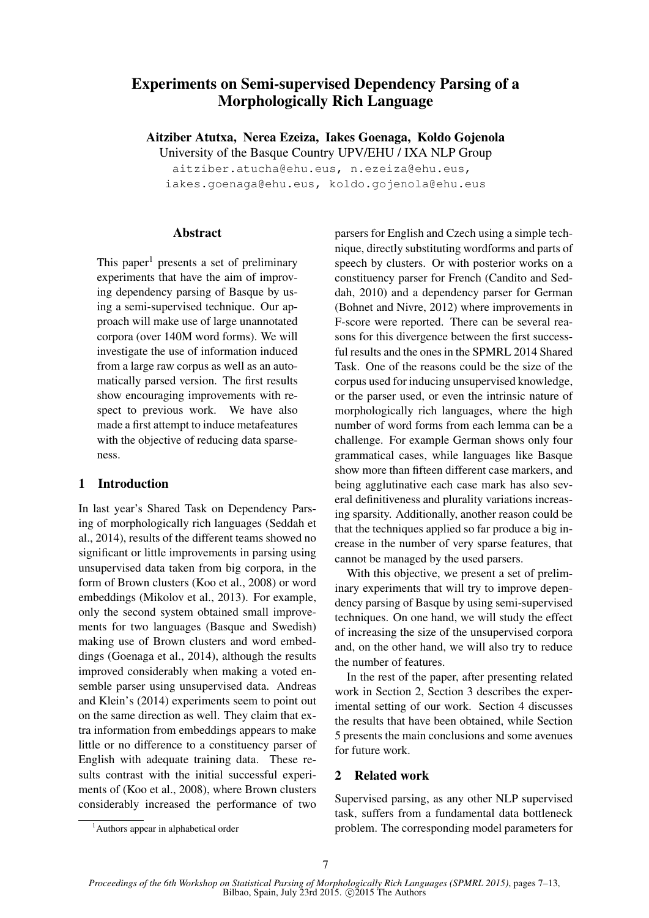# Experiments on Semi-supervised Dependency Parsing of a Morphologically Rich Language

Aitziber Atutxa, Nerea Ezeiza, Iakes Goenaga, Koldo Gojenola

University of the Basque Country UPV/EHU / IXA NLP Group

aitziber.atucha@ehu.eus, n.ezeiza@ehu.eus, iakes.goenaga@ehu.eus, koldo.gojenola@ehu.eus

#### Abstract

This paper<sup>1</sup> presents a set of preliminary experiments that have the aim of improving dependency parsing of Basque by using a semi-supervised technique. Our approach will make use of large unannotated corpora (over 140M word forms). We will investigate the use of information induced from a large raw corpus as well as an automatically parsed version. The first results show encouraging improvements with respect to previous work. We have also made a first attempt to induce metafeatures with the objective of reducing data sparseness.

# 1 Introduction

In last year's Shared Task on Dependency Parsing of morphologically rich languages (Seddah et al., 2014), results of the different teams showed no significant or little improvements in parsing using unsupervised data taken from big corpora, in the form of Brown clusters (Koo et al., 2008) or word embeddings (Mikolov et al., 2013). For example, only the second system obtained small improvements for two languages (Basque and Swedish) making use of Brown clusters and word embeddings (Goenaga et al., 2014), although the results improved considerably when making a voted ensemble parser using unsupervised data. Andreas and Klein's (2014) experiments seem to point out on the same direction as well. They claim that extra information from embeddings appears to make little or no difference to a constituency parser of English with adequate training data. These results contrast with the initial successful experiments of (Koo et al., 2008), where Brown clusters considerably increased the performance of two parsers for English and Czech using a simple technique, directly substituting wordforms and parts of speech by clusters. Or with posterior works on a constituency parser for French (Candito and Seddah, 2010) and a dependency parser for German (Bohnet and Nivre, 2012) where improvements in F-score were reported. There can be several reasons for this divergence between the first successful results and the ones in the SPMRL 2014 Shared Task. One of the reasons could be the size of the corpus used for inducing unsupervised knowledge, or the parser used, or even the intrinsic nature of morphologically rich languages, where the high number of word forms from each lemma can be a challenge. For example German shows only four grammatical cases, while languages like Basque show more than fifteen different case markers, and being agglutinative each case mark has also several definitiveness and plurality variations increasing sparsity. Additionally, another reason could be that the techniques applied so far produce a big increase in the number of very sparse features, that cannot be managed by the used parsers.

With this objective, we present a set of preliminary experiments that will try to improve dependency parsing of Basque by using semi-supervised techniques. On one hand, we will study the effect of increasing the size of the unsupervised corpora and, on the other hand, we will also try to reduce the number of features.

In the rest of the paper, after presenting related work in Section 2, Section 3 describes the experimental setting of our work. Section 4 discusses the results that have been obtained, while Section 5 presents the main conclusions and some avenues for future work.

# 2 Related work

Supervised parsing, as any other NLP supervised task, suffers from a fundamental data bottleneck problem. The corresponding model parameters for

<sup>&</sup>lt;sup>1</sup>Authors appear in alphabetical order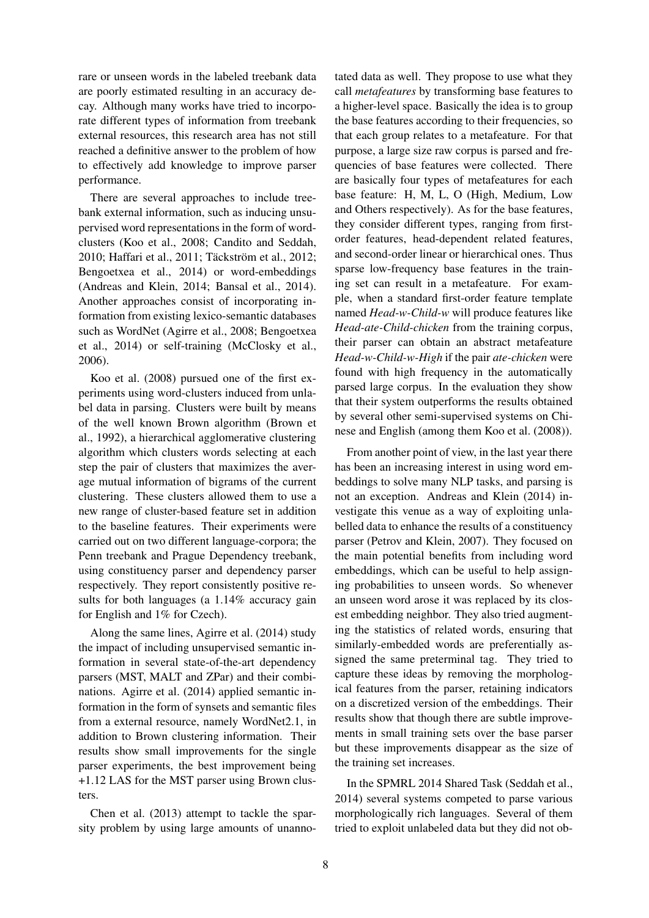rare or unseen words in the labeled treebank data are poorly estimated resulting in an accuracy decay. Although many works have tried to incorporate different types of information from treebank external resources, this research area has not still reached a definitive answer to the problem of how to effectively add knowledge to improve parser performance.

There are several approaches to include treebank external information, such as inducing unsupervised word representations in the form of wordclusters (Koo et al., 2008; Candito and Seddah, 2010; Haffari et al., 2011; Täckström et al., 2012; Bengoetxea et al., 2014) or word-embeddings (Andreas and Klein, 2014; Bansal et al., 2014). Another approaches consist of incorporating information from existing lexico-semantic databases such as WordNet (Agirre et al., 2008; Bengoetxea et al., 2014) or self-training (McClosky et al., 2006).

Koo et al. (2008) pursued one of the first experiments using word-clusters induced from unlabel data in parsing. Clusters were built by means of the well known Brown algorithm (Brown et al., 1992), a hierarchical agglomerative clustering algorithm which clusters words selecting at each step the pair of clusters that maximizes the average mutual information of bigrams of the current clustering. These clusters allowed them to use a new range of cluster-based feature set in addition to the baseline features. Their experiments were carried out on two different language-corpora; the Penn treebank and Prague Dependency treebank, using constituency parser and dependency parser respectively. They report consistently positive results for both languages (a 1.14% accuracy gain for English and 1% for Czech).

Along the same lines, Agirre et al. (2014) study the impact of including unsupervised semantic information in several state-of-the-art dependency parsers (MST, MALT and ZPar) and their combinations. Agirre et al. (2014) applied semantic information in the form of synsets and semantic files from a external resource, namely WordNet2.1, in addition to Brown clustering information. Their results show small improvements for the single parser experiments, the best improvement being +1.12 LAS for the MST parser using Brown clusters.

Chen et al. (2013) attempt to tackle the sparsity problem by using large amounts of unannotated data as well. They propose to use what they call *metafeatures* by transforming base features to a higher-level space. Basically the idea is to group the base features according to their frequencies, so that each group relates to a metafeature. For that purpose, a large size raw corpus is parsed and frequencies of base features were collected. There are basically four types of metafeatures for each base feature: H, M, L, O (High, Medium, Low and Others respectively). As for the base features, they consider different types, ranging from firstorder features, head-dependent related features, and second-order linear or hierarchical ones. Thus sparse low-frequency base features in the training set can result in a metafeature. For example, when a standard first-order feature template named *Head-w-Child-w* will produce features like *Head-ate-Child-chicken* from the training corpus, their parser can obtain an abstract metafeature *Head-w-Child-w-High* if the pair *ate-chicken* were found with high frequency in the automatically parsed large corpus. In the evaluation they show that their system outperforms the results obtained by several other semi-supervised systems on Chinese and English (among them Koo et al. (2008)).

From another point of view, in the last year there has been an increasing interest in using word embeddings to solve many NLP tasks, and parsing is not an exception. Andreas and Klein (2014) investigate this venue as a way of exploiting unlabelled data to enhance the results of a constituency parser (Petrov and Klein, 2007). They focused on the main potential benefits from including word embeddings, which can be useful to help assigning probabilities to unseen words. So whenever an unseen word arose it was replaced by its closest embedding neighbor. They also tried augmenting the statistics of related words, ensuring that similarly-embedded words are preferentially assigned the same preterminal tag. They tried to capture these ideas by removing the morphological features from the parser, retaining indicators on a discretized version of the embeddings. Their results show that though there are subtle improvements in small training sets over the base parser but these improvements disappear as the size of the training set increases.

In the SPMRL 2014 Shared Task (Seddah et al., 2014) several systems competed to parse various morphologically rich languages. Several of them tried to exploit unlabeled data but they did not ob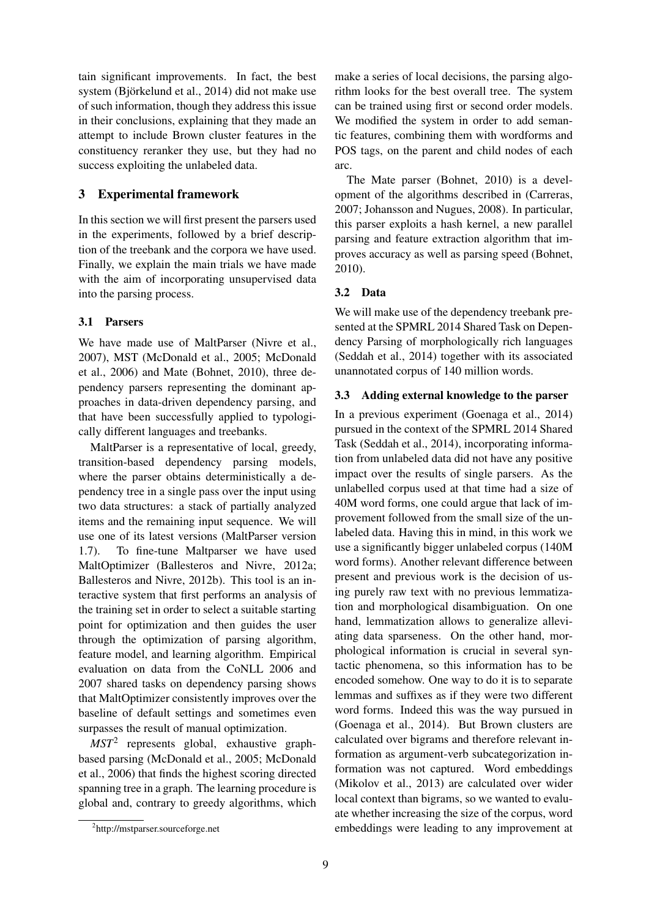tain significant improvements. In fact, the best system (Björkelund et al., 2014) did not make use of such information, though they address this issue in their conclusions, explaining that they made an attempt to include Brown cluster features in the constituency reranker they use, but they had no success exploiting the unlabeled data.

# 3 Experimental framework

In this section we will first present the parsers used in the experiments, followed by a brief description of the treebank and the corpora we have used. Finally, we explain the main trials we have made with the aim of incorporating unsupervised data into the parsing process.

# 3.1 Parsers

We have made use of MaltParser (Nivre et al., 2007), MST (McDonald et al., 2005; McDonald et al., 2006) and Mate (Bohnet, 2010), three dependency parsers representing the dominant approaches in data-driven dependency parsing, and that have been successfully applied to typologically different languages and treebanks.

MaltParser is a representative of local, greedy, transition-based dependency parsing models, where the parser obtains deterministically a dependency tree in a single pass over the input using two data structures: a stack of partially analyzed items and the remaining input sequence. We will use one of its latest versions (MaltParser version 1.7). To fine-tune Maltparser we have used MaltOptimizer (Ballesteros and Nivre, 2012a; Ballesteros and Nivre, 2012b). This tool is an interactive system that first performs an analysis of the training set in order to select a suitable starting point for optimization and then guides the user through the optimization of parsing algorithm, feature model, and learning algorithm. Empirical evaluation on data from the CoNLL 2006 and 2007 shared tasks on dependency parsing shows that MaltOptimizer consistently improves over the baseline of default settings and sometimes even surpasses the result of manual optimization.

*MST*<sup>2</sup> represents global, exhaustive graphbased parsing (McDonald et al., 2005; McDonald et al., 2006) that finds the highest scoring directed spanning tree in a graph. The learning procedure is global and, contrary to greedy algorithms, which

make a series of local decisions, the parsing algorithm looks for the best overall tree. The system can be trained using first or second order models. We modified the system in order to add semantic features, combining them with wordforms and POS tags, on the parent and child nodes of each arc.

The Mate parser (Bohnet, 2010) is a development of the algorithms described in (Carreras, 2007; Johansson and Nugues, 2008). In particular, this parser exploits a hash kernel, a new parallel parsing and feature extraction algorithm that improves accuracy as well as parsing speed (Bohnet, 2010).

#### 3.2 Data

We will make use of the dependency treebank presented at the SPMRL 2014 Shared Task on Dependency Parsing of morphologically rich languages (Seddah et al., 2014) together with its associated unannotated corpus of 140 million words.

#### 3.3 Adding external knowledge to the parser

In a previous experiment (Goenaga et al., 2014) pursued in the context of the SPMRL 2014 Shared Task (Seddah et al., 2014), incorporating information from unlabeled data did not have any positive impact over the results of single parsers. As the unlabelled corpus used at that time had a size of 40M word forms, one could argue that lack of improvement followed from the small size of the unlabeled data. Having this in mind, in this work we use a significantly bigger unlabeled corpus (140M word forms). Another relevant difference between present and previous work is the decision of using purely raw text with no previous lemmatization and morphological disambiguation. On one hand, lemmatization allows to generalize alleviating data sparseness. On the other hand, morphological information is crucial in several syntactic phenomena, so this information has to be encoded somehow. One way to do it is to separate lemmas and suffixes as if they were two different word forms. Indeed this was the way pursued in (Goenaga et al., 2014). But Brown clusters are calculated over bigrams and therefore relevant information as argument-verb subcategorization information was not captured. Word embeddings (Mikolov et al., 2013) are calculated over wider local context than bigrams, so we wanted to evaluate whether increasing the size of the corpus, word embeddings were leading to any improvement at

<sup>2</sup> http://mstparser.sourceforge.net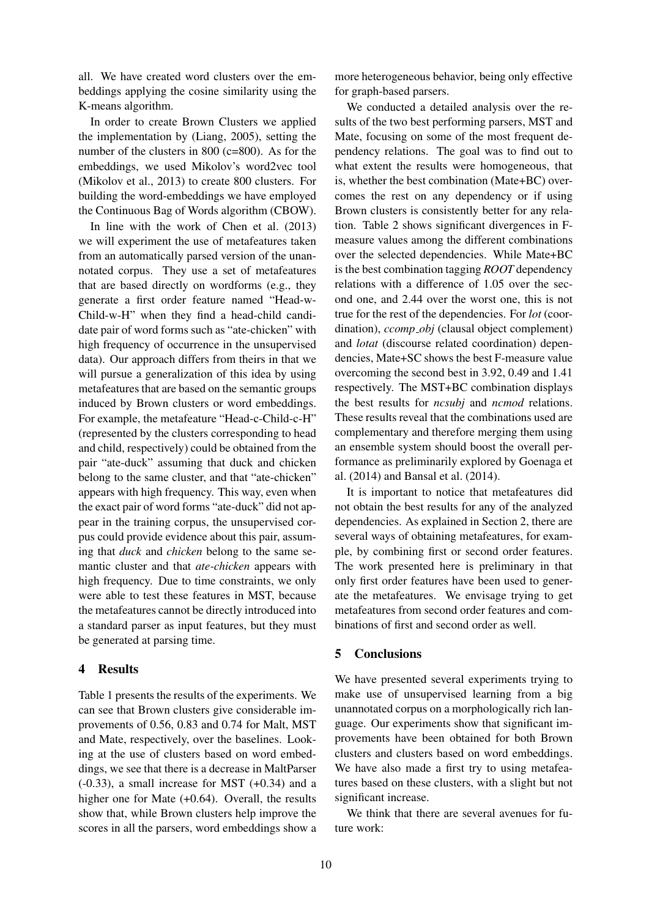all. We have created word clusters over the embeddings applying the cosine similarity using the K-means algorithm.

In order to create Brown Clusters we applied the implementation by (Liang, 2005), setting the number of the clusters in 800 (c=800). As for the embeddings, we used Mikolov's word2vec tool (Mikolov et al., 2013) to create 800 clusters. For building the word-embeddings we have employed the Continuous Bag of Words algorithm (CBOW).

In line with the work of Chen et al. (2013) we will experiment the use of metafeatures taken from an automatically parsed version of the unannotated corpus. They use a set of metafeatures that are based directly on wordforms (e.g., they generate a first order feature named "Head-w-Child-w-H" when they find a head-child candidate pair of word forms such as "ate-chicken" with high frequency of occurrence in the unsupervised data). Our approach differs from theirs in that we will pursue a generalization of this idea by using metafeatures that are based on the semantic groups induced by Brown clusters or word embeddings. For example, the metafeature "Head-c-Child-c-H" (represented by the clusters corresponding to head and child, respectively) could be obtained from the pair "ate-duck" assuming that duck and chicken belong to the same cluster, and that "ate-chicken" appears with high frequency. This way, even when the exact pair of word forms "ate-duck" did not appear in the training corpus, the unsupervised corpus could provide evidence about this pair, assuming that *duck* and *chicken* belong to the same semantic cluster and that *ate-chicken* appears with high frequency. Due to time constraints, we only were able to test these features in MST, because the metafeatures cannot be directly introduced into a standard parser as input features, but they must be generated at parsing time.

# 4 Results

Table 1 presents the results of the experiments. We can see that Brown clusters give considerable improvements of 0.56, 0.83 and 0.74 for Malt, MST and Mate, respectively, over the baselines. Looking at the use of clusters based on word embeddings, we see that there is a decrease in MaltParser  $(-0.33)$ , a small increase for MST  $(+0.34)$  and a higher one for Mate (+0.64). Overall, the results show that, while Brown clusters help improve the scores in all the parsers, word embeddings show a more heterogeneous behavior, being only effective for graph-based parsers.

We conducted a detailed analysis over the results of the two best performing parsers, MST and Mate, focusing on some of the most frequent dependency relations. The goal was to find out to what extent the results were homogeneous, that is, whether the best combination (Mate+BC) overcomes the rest on any dependency or if using Brown clusters is consistently better for any relation. Table 2 shows significant divergences in Fmeasure values among the different combinations over the selected dependencies. While Mate+BC is the best combination tagging *ROOT* dependency relations with a difference of 1.05 over the second one, and 2.44 over the worst one, this is not true for the rest of the dependencies. For *lot* (coordination), *ccomp\_obj* (clausal object complement) and *lotat* (discourse related coordination) dependencies, Mate+SC shows the best F-measure value overcoming the second best in 3.92, 0.49 and 1.41 respectively. The MST+BC combination displays the best results for *ncsubj* and *ncmod* relations. These results reveal that the combinations used are complementary and therefore merging them using an ensemble system should boost the overall performance as preliminarily explored by Goenaga et al. (2014) and Bansal et al. (2014).

It is important to notice that metafeatures did not obtain the best results for any of the analyzed dependencies. As explained in Section 2, there are several ways of obtaining metafeatures, for example, by combining first or second order features. The work presented here is preliminary in that only first order features have been used to generate the metafeatures. We envisage trying to get metafeatures from second order features and combinations of first and second order as well.

# 5 Conclusions

We have presented several experiments trying to make use of unsupervised learning from a big unannotated corpus on a morphologically rich language. Our experiments show that significant improvements have been obtained for both Brown clusters and clusters based on word embeddings. We have also made a first try to using metafeatures based on these clusters, with a slight but not significant increase.

We think that there are several avenues for future work: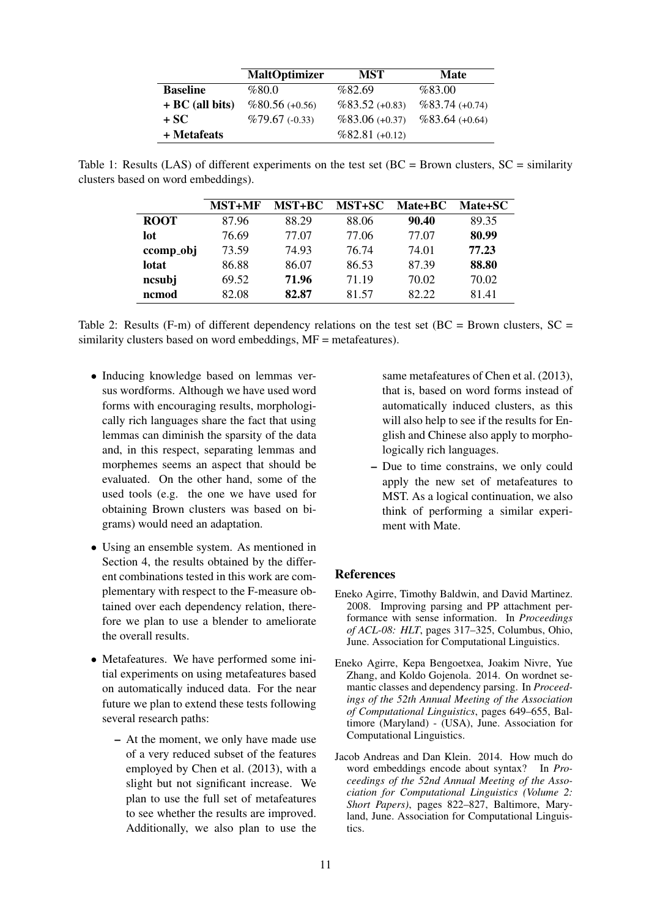|                   | <b>MaltOptimizer</b> | <b>MST</b>      | <b>Mate</b>     |
|-------------------|----------------------|-----------------|-----------------|
| <b>Baseline</b>   | %80.0                | %82.69          | %83.00          |
| $+ BC$ (all bits) | $%80.56(+0.56)$      | $%83.52(+0.83)$ | $%83.74(+0.74)$ |
| + SC              | $%79.67(-0.33)$      | $%83.06(+0.37)$ | $%83.64(+0.64)$ |
| + Metafeats       |                      | $%82.81(+0.12)$ |                 |

Table 1: Results (LAS) of different experiments on the test set (BC = Brown clusters,  $SC =$  similarity clusters based on word embeddings).

|             | <b>MST+MF</b> | <b>MST+BC</b> | <b>MST+SC</b> | Mate+BC | Mate+SC |
|-------------|---------------|---------------|---------------|---------|---------|
| <b>ROOT</b> | 87.96         | 88.29         | 88.06         | 90.40   | 89.35   |
| lot         | 76.69         | 77.07         | 77.06         | 77.07   | 80.99   |
| ccomp_obj   | 73.59         | 74.93         | 76.74         | 74.01   | 77.23   |
| lotat       | 86.88         | 86.07         | 86.53         | 87.39   | 88.80   |
| ncsubj      | 69.52         | 71.96         | 71.19         | 70.02   | 70.02   |
| ncmod       | 82.08         | 82.87         | 81.57         | 82.22   | 81.41   |

Table 2: Results (F-m) of different dependency relations on the test set ( $BC = Brown$  clusters,  $SC =$ similarity clusters based on word embeddings,  $MF =$  metafeatures).

- Inducing knowledge based on lemmas versus wordforms. Although we have used word forms with encouraging results, morphologically rich languages share the fact that using lemmas can diminish the sparsity of the data and, in this respect, separating lemmas and morphemes seems an aspect that should be evaluated. On the other hand, some of the used tools (e.g. the one we have used for obtaining Brown clusters was based on bigrams) would need an adaptation.
- Using an ensemble system. As mentioned in Section 4, the results obtained by the different combinations tested in this work are complementary with respect to the F-measure obtained over each dependency relation, therefore we plan to use a blender to ameliorate the overall results.
- Metafeatures. We have performed some initial experiments on using metafeatures based on automatically induced data. For the near future we plan to extend these tests following several research paths:
	- At the moment, we only have made use of a very reduced subset of the features employed by Chen et al. (2013), with a slight but not significant increase. We plan to use the full set of metafeatures to see whether the results are improved. Additionally, we also plan to use the

same metafeatures of Chen et al. (2013), that is, based on word forms instead of automatically induced clusters, as this will also help to see if the results for English and Chinese also apply to morphologically rich languages.

– Due to time constrains, we only could apply the new set of metafeatures to MST. As a logical continuation, we also think of performing a similar experiment with Mate.

# **References**

- Eneko Agirre, Timothy Baldwin, and David Martinez. 2008. Improving parsing and PP attachment performance with sense information. In *Proceedings of ACL-08: HLT*, pages 317–325, Columbus, Ohio, June. Association for Computational Linguistics.
- Eneko Agirre, Kepa Bengoetxea, Joakim Nivre, Yue Zhang, and Koldo Gojenola. 2014. On wordnet semantic classes and dependency parsing. In *Proceedings of the 52th Annual Meeting of the Association of Computational Linguistics*, pages 649–655, Baltimore (Maryland) - (USA), June. Association for Computational Linguistics.
- Jacob Andreas and Dan Klein. 2014. How much do word embeddings encode about syntax? In *Proceedings of the 52nd Annual Meeting of the Association for Computational Linguistics (Volume 2: Short Papers)*, pages 822–827, Baltimore, Maryland, June. Association for Computational Linguistics.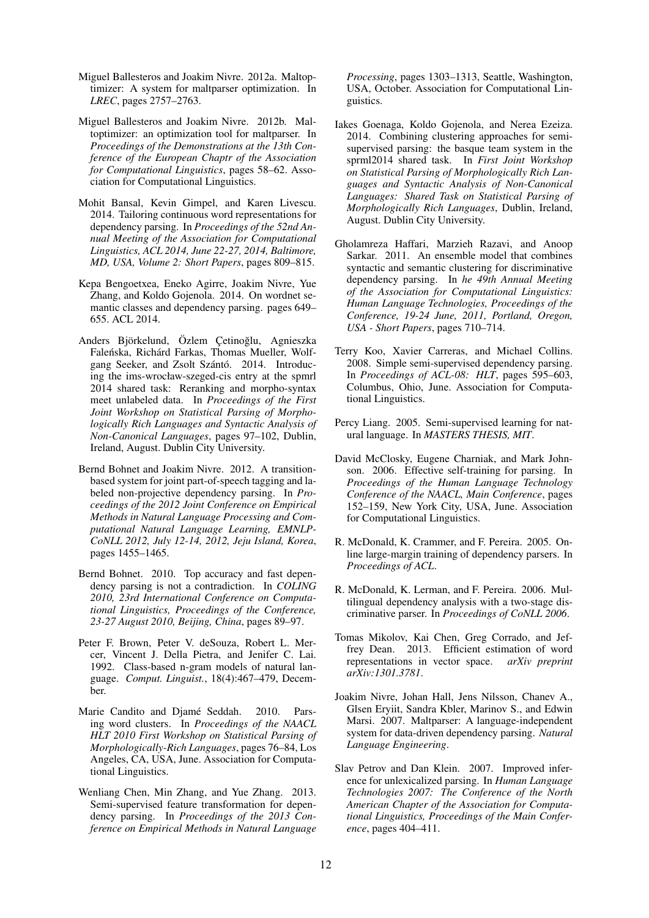- Miguel Ballesteros and Joakim Nivre. 2012a. Maltoptimizer: A system for maltparser optimization. In *LREC*, pages 2757–2763.
- Miguel Ballesteros and Joakim Nivre. 2012b. Maltoptimizer: an optimization tool for maltparser. In *Proceedings of the Demonstrations at the 13th Conference of the European Chaptr of the Association for Computational Linguistics*, pages 58–62. Association for Computational Linguistics.
- Mohit Bansal, Kevin Gimpel, and Karen Livescu. 2014. Tailoring continuous word representations for dependency parsing. In *Proceedings of the 52nd Annual Meeting of the Association for Computational Linguistics, ACL 2014, June 22-27, 2014, Baltimore, MD, USA, Volume 2: Short Papers*, pages 809–815.
- Kepa Bengoetxea, Eneko Agirre, Joakim Nivre, Yue Zhang, and Koldo Gojenola. 2014. On wordnet semantic classes and dependency parsing. pages 649– 655. ACL 2014.
- Anders Björkelund, Özlem Çetinoğlu, Agnieszka Faleńska, Richárd Farkas, Thomas Mueller, Wolfgang Seeker, and Zsolt Szántó. 2014. Introducing the ims-wrocław-szeged-cis entry at the spmrl 2014 shared task: Reranking and morpho-syntax meet unlabeled data. In *Proceedings of the First Joint Workshop on Statistical Parsing of Morphologically Rich Languages and Syntactic Analysis of Non-Canonical Languages*, pages 97–102, Dublin, Ireland, August. Dublin City University.
- Bernd Bohnet and Joakim Nivre. 2012. A transitionbased system for joint part-of-speech tagging and labeled non-projective dependency parsing. In *Proceedings of the 2012 Joint Conference on Empirical Methods in Natural Language Processing and Computational Natural Language Learning, EMNLP-CoNLL 2012, July 12-14, 2012, Jeju Island, Korea*, pages 1455–1465.
- Bernd Bohnet. 2010. Top accuracy and fast dependency parsing is not a contradiction. In *COLING 2010, 23rd International Conference on Computational Linguistics, Proceedings of the Conference, 23-27 August 2010, Beijing, China*, pages 89–97.
- Peter F. Brown, Peter V. deSouza, Robert L. Mercer, Vincent J. Della Pietra, and Jenifer C. Lai. 1992. Class-based n-gram models of natural language. *Comput. Linguist.*, 18(4):467–479, December.
- Marie Candito and Djamé Seddah. 2010. Parsing word clusters. In *Proceedings of the NAACL HLT 2010 First Workshop on Statistical Parsing of Morphologically-Rich Languages*, pages 76–84, Los Angeles, CA, USA, June. Association for Computational Linguistics.
- Wenliang Chen, Min Zhang, and Yue Zhang. 2013. Semi-supervised feature transformation for dependency parsing. In *Proceedings of the 2013 Conference on Empirical Methods in Natural Language*

*Processing*, pages 1303–1313, Seattle, Washington, USA, October. Association for Computational Linguistics.

- Iakes Goenaga, Koldo Gojenola, and Nerea Ezeiza. 2014. Combining clustering approaches for semisupervised parsing: the basque team system in the sprml2014 shared task. In *First Joint Workshop on Statistical Parsing of Morphologically Rich Languages and Syntactic Analysis of Non-Canonical Languages: Shared Task on Statistical Parsing of Morphologically Rich Languages*, Dublin, Ireland, August. Dublin City University.
- Gholamreza Haffari, Marzieh Razavi, and Anoop Sarkar. 2011. An ensemble model that combines syntactic and semantic clustering for discriminative dependency parsing. In *he 49th Annual Meeting of the Association for Computational Linguistics: Human Language Technologies, Proceedings of the Conference, 19-24 June, 2011, Portland, Oregon, USA - Short Papers*, pages 710–714.
- Terry Koo, Xavier Carreras, and Michael Collins. 2008. Simple semi-supervised dependency parsing. In *Proceedings of ACL-08: HLT*, pages 595–603, Columbus, Ohio, June. Association for Computational Linguistics.
- Percy Liang. 2005. Semi-supervised learning for natural language. In *MASTERS THESIS, MIT*.
- David McClosky, Eugene Charniak, and Mark Johnson. 2006. Effective self-training for parsing. In *Proceedings of the Human Language Technology Conference of the NAACL, Main Conference*, pages 152–159, New York City, USA, June. Association for Computational Linguistics.
- R. McDonald, K. Crammer, and F. Pereira. 2005. Online large-margin training of dependency parsers. In *Proceedings of ACL*.
- R. McDonald, K. Lerman, and F. Pereira. 2006. Multilingual dependency analysis with a two-stage discriminative parser. In *Proceedings of CoNLL 2006*.
- Tomas Mikolov, Kai Chen, Greg Corrado, and Jeffrey Dean. 2013. Efficient estimation of word representations in vector space. *arXiv preprint arXiv:1301.3781*.
- Joakim Nivre, Johan Hall, Jens Nilsson, Chanev A., Glsen Eryiit, Sandra Kbler, Marinov S., and Edwin Marsi. 2007. Maltparser: A language-independent system for data-driven dependency parsing. *Natural Language Engineering*.
- Slav Petrov and Dan Klein. 2007. Improved inference for unlexicalized parsing. In *Human Language Technologies 2007: The Conference of the North American Chapter of the Association for Computational Linguistics, Proceedings of the Main Conference*, pages 404–411.